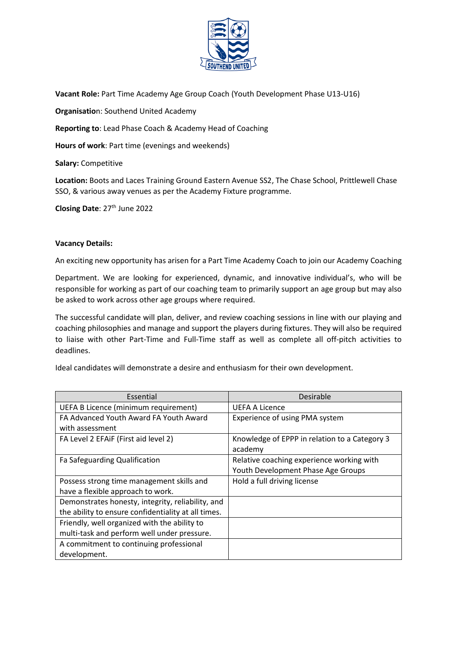

**Vacant Role:** Part Time Academy Age Group Coach (Youth Development Phase U13-U16)

**Organisatio**n: Southend United Academy

**Reporting to**: Lead Phase Coach & Academy Head of Coaching

**Hours of work**: Part time (evenings and weekends)

**Salary:** Competitive

**Location:** Boots and Laces Training Ground Eastern Avenue SS2, The Chase School, Prittlewell Chase SSO, & various away venues as per the Academy Fixture programme.

**Closing Date: 27<sup>th</sup> June 2022** 

#### **Vacancy Details:**

An exciting new opportunity has arisen for a Part Time Academy Coach to join our Academy Coaching

Department. We are looking for experienced, dynamic, and innovative individual's, who will be responsible for working as part of our coaching team to primarily support an age group but may also be asked to work across other age groups where required.

The successful candidate will plan, deliver, and review coaching sessions in line with our playing and coaching philosophies and manage and support the players during fixtures. They will also be required to liaise with other Part-Time and Full-Time staff as well as complete all off-pitch activities to deadlines.

Ideal candidates will demonstrate a desire and enthusiasm for their own development.

| Essential                                           | Desirable                                     |
|-----------------------------------------------------|-----------------------------------------------|
| UEFA B Licence (minimum requirement)                | <b>UEFA A Licence</b>                         |
| FA Advanced Youth Award FA Youth Award              | Experience of using PMA system                |
| with assessment                                     |                                               |
| FA Level 2 EFAIF (First aid level 2)                | Knowledge of EPPP in relation to a Category 3 |
|                                                     | academy                                       |
| Fa Safeguarding Qualification                       | Relative coaching experience working with     |
|                                                     | Youth Development Phase Age Groups            |
| Possess strong time management skills and           | Hold a full driving license                   |
| have a flexible approach to work.                   |                                               |
| Demonstrates honesty, integrity, reliability, and   |                                               |
| the ability to ensure confidentiality at all times. |                                               |
| Friendly, well organized with the ability to        |                                               |
| multi-task and perform well under pressure.         |                                               |
| A commitment to continuing professional             |                                               |
| development.                                        |                                               |